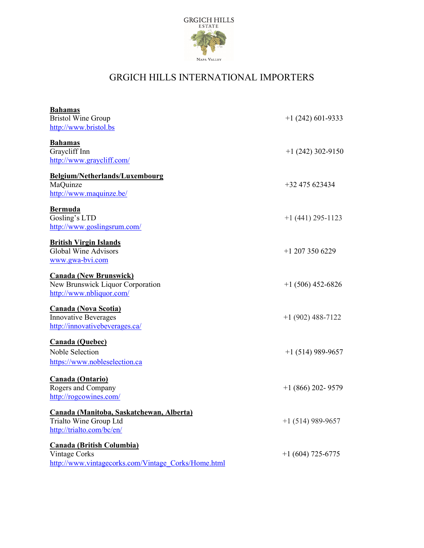

## GRGICH HILLS INTERNATIONAL IMPORTERS

| <b>Bahamas</b>                                        |                     |
|-------------------------------------------------------|---------------------|
| <b>Bristol Wine Group</b>                             | $+1(242)601-9333$   |
| http://www.bristol.bs                                 |                     |
|                                                       |                     |
| <b>Bahamas</b>                                        |                     |
| Graycliff Inn                                         | $+1(242)302-9150$   |
| http://www.graycliff.com/                             |                     |
| Belgium/Netherlands/Luxembourg                        |                     |
| MaQuinze                                              | +32 475 623434      |
| http://www.maquinze.be/                               |                     |
|                                                       |                     |
| <b>Bermuda</b>                                        |                     |
| Gosling's LTD                                         | $+1(441)$ 295-1123  |
| http://www.goslingsrum.com/                           |                     |
|                                                       |                     |
| <b>British Virgin Islands</b><br>Global Wine Advisors | $+1$ 207 350 6229   |
|                                                       |                     |
| www.gwa-bvi.com                                       |                     |
| <b>Canada (New Brunswick)</b>                         |                     |
| New Brunswick Liquor Corporation                      | $+1(506)$ 452-6826  |
| http://www.nbliquor.com/                              |                     |
|                                                       |                     |
| <b>Canada (Nova Scotia)</b>                           |                     |
| <b>Innovative Beverages</b>                           | $+1(902)$ 488-7122  |
| http://innovativebeverages.ca/                        |                     |
| <b>Canada (Quebec)</b>                                |                     |
| Noble Selection                                       | $+1(514)$ 989-9657  |
|                                                       |                     |
| https://www.nobleselection.ca                         |                     |
| Canada (Ontario)                                      |                     |
| Rogers and Company                                    | $+1$ (866) 202-9579 |
| http://rogcowines.com/                                |                     |
|                                                       |                     |
| <b>Canada (Manitoba, Saskatchewan, Alberta)</b>       |                     |
| Trialto Wine Group Ltd                                | $+1$ (514) 989-9657 |
| http://trialto.com/bc/en/                             |                     |
|                                                       |                     |
| <b>Canada (British Columbia)</b>                      |                     |
| Vintage Corks                                         | $+1(604)$ 725-6775  |
| http://www.vintagecorks.com/Vintage Corks/Home.html   |                     |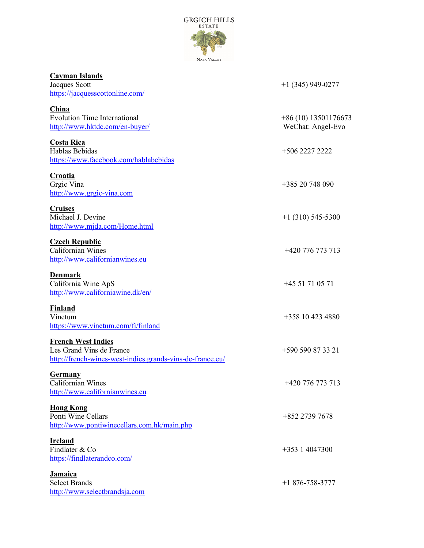

| <b>Cayman Islands</b><br>Jacques Scott<br>https://jacquesscottonline.com/                                          | $+1$ (345) 949-0277                       |
|--------------------------------------------------------------------------------------------------------------------|-------------------------------------------|
| China<br><b>Evolution Time International</b><br>http://www.hktdc.com/en-buyer/                                     | +86 (10) 13501176673<br>WeChat: Angel-Evo |
| <b>Costa Rica</b><br>Hablas Bebidas<br>https://www.facebook.com/hablabebidas                                       | +506 2227 2222                            |
| <b>Croatia</b><br>Grgic Vina<br>http://www.grgic-vina.com                                                          | +385 20 748 090                           |
| <b>Cruises</b><br>Michael J. Devine<br>http://www.mjda.com/Home.html                                               | $+1$ (310) 545-5300                       |
| <b>Czech Republic</b><br>Californian Wines<br>http://www.californianwines.eu                                       | $+420$ 776 773 713                        |
| Denmark<br>California Wine ApS<br>http://www.californiawine.dk/en/                                                 | +45 51 71 05 71                           |
| <b>Finland</b><br>Vinetum<br>https://www.vinetum.com/fi/finland                                                    | +358 10 423 4880                          |
| <b>French West Indies</b><br>Les Grand Vins de France<br>http://french-wines-west-indies.grands-vins-de-france.eu/ | +590 590 87 33 21                         |
| Germany<br>Californian Wines<br>http://www.californianwines.eu                                                     | +420 776 773 713                          |
| <b>Hong Kong</b><br>Ponti Wine Cellars<br>http://www.pontiwinecellars.com.hk/main.php                              | +852 2739 7678                            |
| <b>Ireland</b><br>Findlater & Co<br>https://findlaterandco.com/                                                    | $+353$ 1 4047300                          |
| <b>Jamaica</b><br><b>Select Brands</b><br>http://www.selectbrandsja.com                                            | $+1876 - 758 - 3777$                      |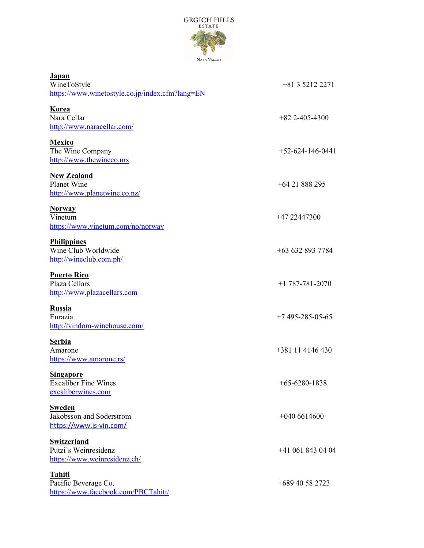

| <b>Japan</b><br>WineToStyle<br>https://www.winetostyle.co.jp/index.cfm?lang=EN | $+81352122271$      |
|--------------------------------------------------------------------------------|---------------------|
| <b>Korea</b><br>Nara Cellar<br>http://www.naracellar.com/                      | $+82$ 2-405-4300    |
| Mexico<br>The Wine Company<br>http://www.thewineco.mx                          | $+52-624-146-0441$  |
| <b>New Zealand</b><br>Planet Wine<br>http://www.planetwine.co.nz/              | $+6421888295$       |
| <b>Norway</b><br>Vinetum<br>https://www.vinetum.com/no/norway                  | +47 22447300        |
| <b>Philippines</b><br>Wine Club Worldwide<br>http://wineclub.com.ph/           | +63 632 893 7784    |
| <b>Puerto Rico</b><br>Plaza Cellars<br>http://www.plazacellars.com             | $+1$ 787-781-2070   |
| <b>Russia</b><br>Eurazia<br>http://vindom-winehouse.com/                       | $+7$ 495-285-05-65  |
| <b>Serbia</b><br>Amarone<br>https://www.amarone.rs/                            | $+381$ 11 4146 430  |
| <b>Singapore</b><br><b>Excaliber Fine Wines</b><br>excaliberwines.com          | $+65 - 6280 - 1838$ |
| <b>Sweden</b><br>Jakobsson and Soderstrom<br>https://www.js-vin.com/           | $+0406614600$       |
| <b>Switzerland</b><br>Putzi's Weinresidenz<br>https://www.weinresidenz.ch/     | $+41$ 061 843 04 04 |
| <b>Tahiti</b><br>Pacific Beverage Co.<br>https://www.facebook.com/PBCTahiti/   | $+68940582723$      |